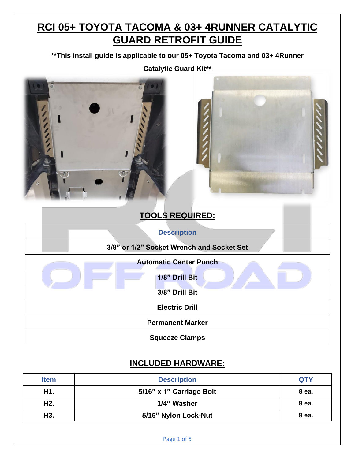# **RCI 05+ TOYOTA TACOMA & 03+ 4RUNNER CATALYTIC GUARD RETROFIT GUIDE**

**\*\*This install guide is applicable to our 05+ Toyota Tacoma and 03+ 4Runner** 

**Catalytic Guard Kit\*\***





### **TOOLS REQUIRED:**

| <b>Description</b>                        |  |  |  |
|-------------------------------------------|--|--|--|
| 3/8" or 1/2" Socket Wrench and Socket Set |  |  |  |
| <b>Automatic Center Punch</b>             |  |  |  |
| 1/8" Drill Bit                            |  |  |  |
| 3/8" Drill Bit                            |  |  |  |
| <b>Electric Drill</b>                     |  |  |  |
| <b>Permanent Marker</b>                   |  |  |  |
| <b>Squeeze Clamps</b>                     |  |  |  |

### **INCLUDED HARDWARE:**

| <b>Item</b>      | <b>Description</b>       | <b>QTY</b> |
|------------------|--------------------------|------------|
| H <sub>1</sub> . | 5/16" x 1" Carriage Bolt | 8 ea.      |
| H <sub>2</sub> . | 1/4" Washer              | 8 ea.      |
| H3.              | 5/16" Nylon Lock-Nut     | 8 ea.      |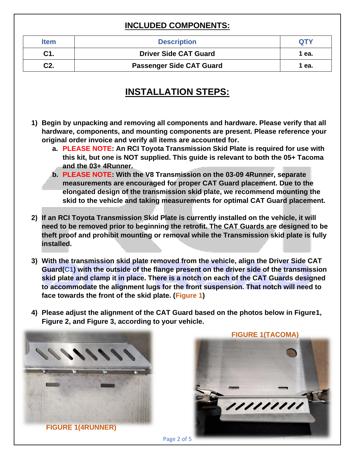#### **INCLUDED COMPONENTS:**

| <b>Item</b> | <b>Description</b>              | <b>OTY</b> |
|-------------|---------------------------------|------------|
| C1.         | <b>Driver Side CAT Guard</b>    | 1 еа.      |
| C2.         | <b>Passenger Side CAT Guard</b> | 1 еа.      |

## **INSTALLATION STEPS:**

- **1) Begin by unpacking and removing all components and hardware. Please verify that all hardware, components, and mounting components are present. Please reference your original order invoice and verify all items are accounted for.** 
	- **a. PLEASE NOTE: An RCI Toyota Transmission Skid Plate is required for use with this kit, but one is NOT supplied. This guide is relevant to both the 05+ Tacoma and the 03+ 4Runner.**
	- **b. PLEASE NOTE: With the V8 Transmission on the 03-09 4Runner, separate measurements are encouraged for proper CAT Guard placement. Due to the elongated design of the transmission skid plate, we recommend mounting the skid to the vehicle and taking measurements for optimal CAT Guard placement.**
- **2) If an RCI Toyota Transmission Skid Plate is currently installed on the vehicle, it will need to be removed prior to beginning the retrofit. The CAT Guards are designed to be theft proof and prohibit mounting or removal while the Transmission skid plate is fully installed.**
- **3) With the transmission skid plate removed from the vehicle, align the Driver Side CAT Guard(C1) with the outside of the flange present on the driver side of the transmission skid plate and clamp it in place. There is a notch on each of the CAT Guards designed to accommodate the alignment lugs for the front suspension. That notch will need to face towards the front of the skid plate. (Figure 1)**
- **4) Please adjust the alignment of the CAT Guard based on the photos below in Figure1, Figure 2, and Figure 3, according to your vehicle.**



 **FIGURE 1(4RUNNER)**



Page 2 of 5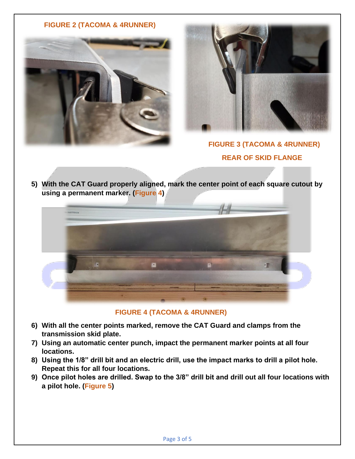#### **FIGURE 2 (TACOMA & 4RUNNER)**





### **FIGURE 3 (TACOMA & 4RUNNER) REAR OF SKID FLANGE**

**5) With the CAT Guard properly aligned, mark the center point of each square cutout by using a permanent marker. (Figure 4)**



 **FIGURE 4 (TACOMA & 4RUNNER)**

- **6) With all the center points marked, remove the CAT Guard and clamps from the transmission skid plate.**
- **7) Using an automatic center punch, impact the permanent marker points at all four locations.**
- **8) Using the 1/8" drill bit and an electric drill, use the impact marks to drill a pilot hole. Repeat this for all four locations.**
- **9) Once pilot holes are drilled. Swap to the 3/8" drill bit and drill out all four locations with a pilot hole. (Figure 5)**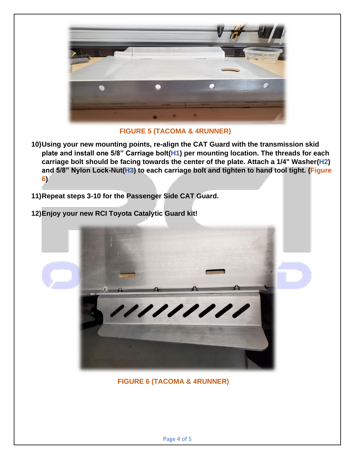

 **FIGURE 5 (TACOMA & 4RUNNER)**

- **10)Using your new mounting points, re-align the CAT Guard with the transmission skid plate and install one 5/8" Carriage bolt(H1) per mounting location. The threads for each carriage bolt should be facing towards the center of the plate. Attach a 1/4" Washer(H2) and 5/8" Nylon Lock-Nut(H3) to each carriage bolt and tighten to hand tool tight. (Figure 6)**
- **11)Repeat steps 3-10 for the Passenger Side CAT Guard.**
- **12)Enjoy your new RCI Toyota Catalytic Guard kit!**



 **FIGURE 6 (TACOMA & 4RUNNER)**